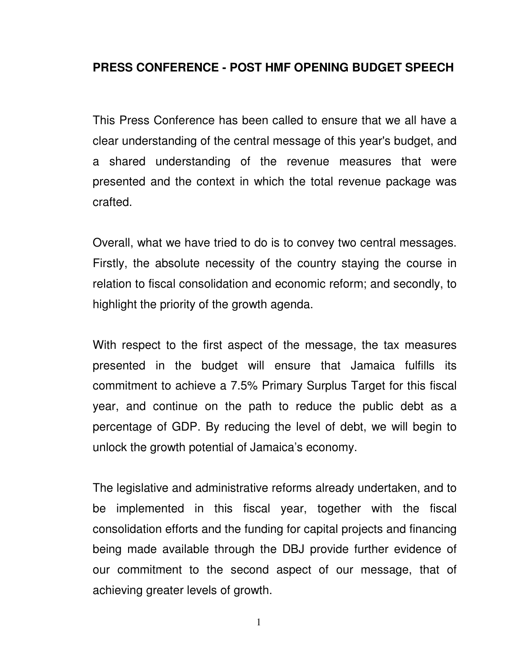## **PRESS CONFERENCE - POST HMF OPENING BUDGET SPEECH**

 This Press Conference has been called to ensure that we all have a clear understanding of the central message of this year's budget, and a shared understanding of the revenue measures that were presented and the context in which the total revenue package was crafted.

 Overall, what we have tried to do is to convey two central messages. Firstly, the absolute necessity of the country staying the course in relation to fiscal consolidation and economic reform; and secondly, to highlight the priority of the growth agenda.

 With respect to the first aspect of the message, the tax measures presented in the budget will ensure that Jamaica fulfills its commitment to achieve a 7.5% Primary Surplus Target for this fiscal year, and continue on the path to reduce the public debt as a percentage of GDP. By reducing the level of debt, we will begin to unlock the growth potential of Jamaica's economy.

 The legislative and administrative reforms already undertaken, and to be implemented in this fiscal year, together with the fiscal consolidation efforts and the funding for capital projects and financing being made available through the DBJ provide further evidence of our commitment to the second aspect of our message, that of achieving greater levels of growth.

1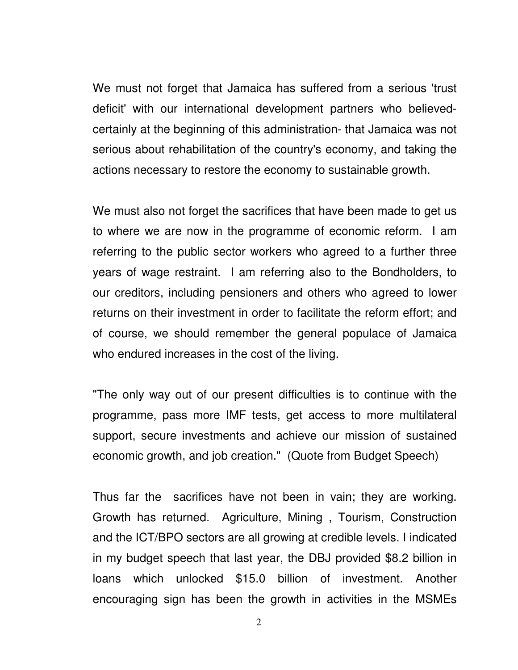We must not forget that Jamaica has suffered from a serious 'trust deficit' with our international development partners who believedcertainly at the beginning of this administration- that Jamaica was not serious about rehabilitation of the country's economy, and taking the actions necessary to restore the economy to sustainable growth.

 We must also not forget the sacrifices that have been made to get us to where we are now in the programme of economic reform. I am referring to the public sector workers who agreed to a further three years of wage restraint. I am referring also to the Bondholders, to our creditors, including pensioners and others who agreed to lower returns on their investment in order to facilitate the reform effort; and of course, we should remember the general populace of Jamaica who endured increases in the cost of the living.

 "The only way out of our present difficulties is to continue with the programme, pass more IMF tests, get access to more multilateral support, secure investments and achieve our mission of sustained economic growth, and job creation." (Quote from Budget Speech)

 Thus far the sacrifices have not been in vain; they are working. Growth has returned. Agriculture, Mining , Tourism, Construction and the ICT/BPO sectors are all growing at credible levels. I indicated in my budget speech that last year, the DBJ provided \$8.2 billion in loans which unlocked \$15.0 billion of investment. Another encouraging sign has been the growth in activities in the MSMEs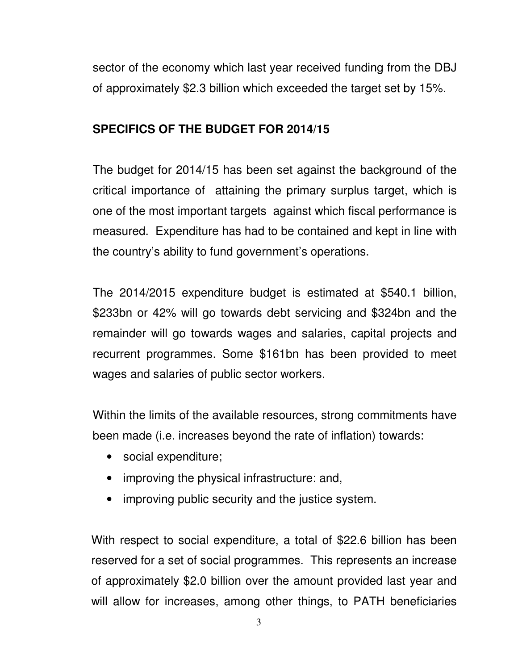sector of the economy which last year received funding from the DBJ of approximately \$2.3 billion which exceeded the target set by 15%.

## **SPECIFICS OF THE BUDGET FOR 2014/15**

 The budget for 2014/15 has been set against the background of the critical importance of attaining the primary surplus target, which is one of the most important targets against which fiscal performance is measured. Expenditure has had to be contained and kept in line with the country's ability to fund government's operations.

 The 2014/2015 expenditure budget is estimated at \$540.1 billion, \$233bn or 42% will go towards debt servicing and \$324bn and the remainder will go towards wages and salaries, capital projects and recurrent programmes. Some \$161bn has been provided to meet wages and salaries of public sector workers.

 Within the limits of the available resources, strong commitments have been made (i.e. increases beyond the rate of inflation) towards:

- social expenditure;
- improving the physical infrastructure: and,
- improving public security and the justice system.

 With respect to social expenditure, a total of \$22.6 billion has been reserved for a set of social programmes. This represents an increase of approximately \$2.0 billion over the amount provided last year and will allow for increases, among other things, to PATH beneficiaries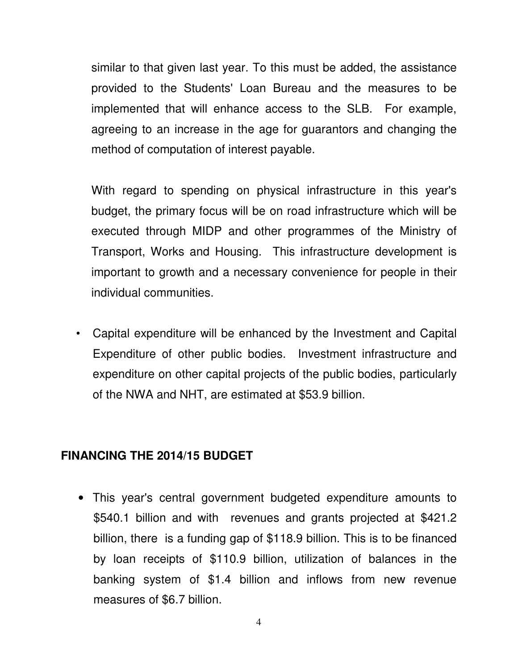similar to that given last year. To this must be added, the assistance provided to the Students' Loan Bureau and the measures to be implemented that will enhance access to the SLB. For example, agreeing to an increase in the age for guarantors and changing the method of computation of interest payable.

 With regard to spending on physical infrastructure in this year's budget, the primary focus will be on road infrastructure which will be executed through MIDP and other programmes of the Ministry of Transport, Works and Housing. This infrastructure development is important to growth and a necessary convenience for people in their individual communities.

• Capital expenditure will be enhanced by the Investment and Capital Expenditure of other public bodies. Investment infrastructure and expenditure on other capital projects of the public bodies, particularly of the NWA and NHT, are estimated at \$53.9 billion.

## **FINANCING THE 2014/15 BUDGET**

• This year's central government budgeted expenditure amounts to \$540.1 billion and with revenues and grants projected at \$421.2 billion, there is a funding gap of \$118.9 billion. This is to be financed by loan receipts of \$110.9 billion, utilization of balances in the banking system of \$1.4 billion and inflows from new revenue measures of \$6.7 billion.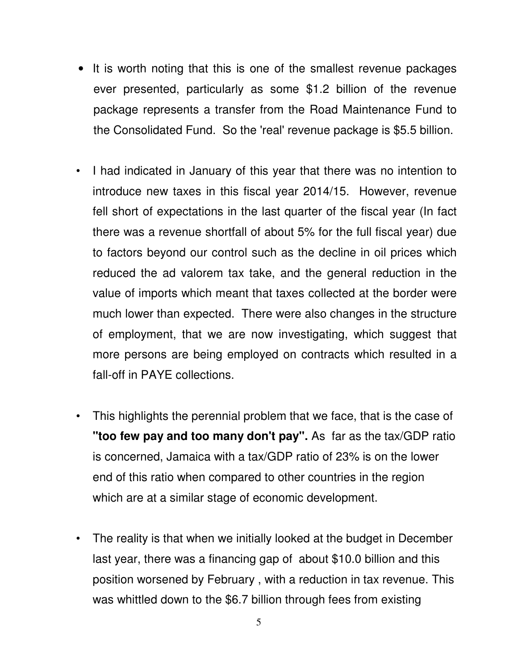- It is worth noting that this is one of the smallest revenue packages ever presented, particularly as some \$1.2 billion of the revenue package represents a transfer from the Road Maintenance Fund to the Consolidated Fund. So the 'real' revenue package is \$5.5 billion.
- I had indicated in January of this year that there was no intention to introduce new taxes in this fiscal year 2014/15. However, revenue fell short of expectations in the last quarter of the fiscal year (In fact there was a revenue shortfall of about 5% for the full fiscal year) due to factors beyond our control such as the decline in oil prices which reduced the ad valorem tax take, and the general reduction in the value of imports which meant that taxes collected at the border were much lower than expected. There were also changes in the structure of employment, that we are now investigating, which suggest that more persons are being employed on contracts which resulted in a fall-off in PAYE collections.
- This highlights the perennial problem that we face, that is the case of **"too few pay and too many don't pay".** As far as the tax/GDP ratio is concerned, Jamaica with a tax/GDP ratio of 23% is on the lower end of this ratio when compared to other countries in the region which are at a similar stage of economic development.
- The reality is that when we initially looked at the budget in December last year, there was a financing gap of about \$10.0 billion and this position worsened by February , with a reduction in tax revenue. This was whittled down to the \$6.7 billion through fees from existing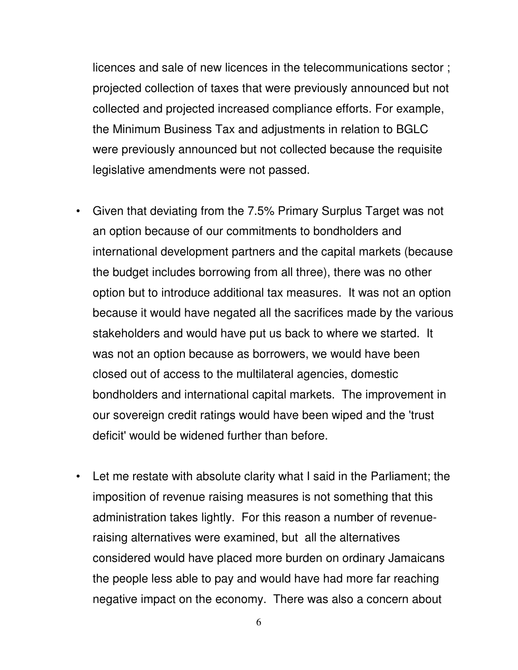licences and sale of new licences in the telecommunications sector ; projected collection of taxes that were previously announced but not collected and projected increased compliance efforts. For example, the Minimum Business Tax and adjustments in relation to BGLC were previously announced but not collected because the requisite legislative amendments were not passed.

- Given that deviating from the 7.5% Primary Surplus Target was not an option because of our commitments to bondholders and international development partners and the capital markets (because the budget includes borrowing from all three), there was no other option but to introduce additional tax measures. It was not an option because it would have negated all the sacrifices made by the various stakeholders and would have put us back to where we started. It was not an option because as borrowers, we would have been closed out of access to the multilateral agencies, domestic bondholders and international capital markets. The improvement in our sovereign credit ratings would have been wiped and the 'trust deficit' would be widened further than before.
- Let me restate with absolute clarity what I said in the Parliament; the imposition of revenue raising measures is not something that this administration takes lightly. For this reason a number of revenueraising alternatives were examined, but all the alternatives considered would have placed more burden on ordinary Jamaicans the people less able to pay and would have had more far reaching negative impact on the economy. There was also a concern about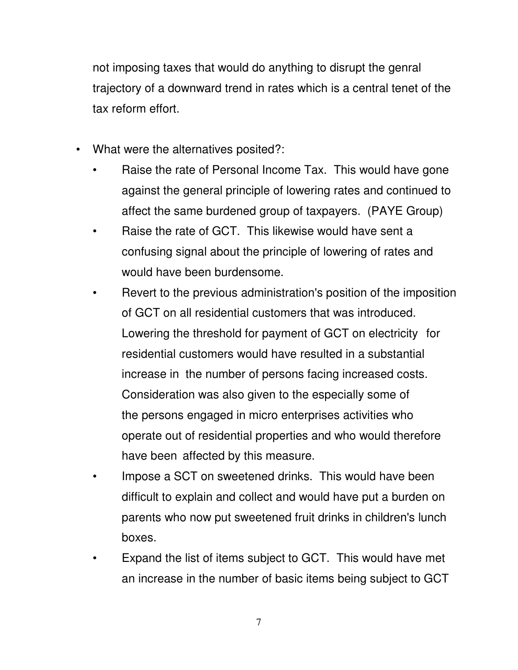not imposing taxes that would do anything to disrupt the genral trajectory of a downward trend in rates which is a central tenet of the tax reform effort.

- What were the alternatives posited?:
	- Raise the rate of Personal Income Tax. This would have gone against the general principle of lowering rates and continued to affect the same burdened group of taxpayers. (PAYE Group)
	- Raise the rate of GCT. This likewise would have sent a confusing signal about the principle of lowering of rates and would have been burdensome.
	- Revert to the previous administration's position of the imposition of GCT on all residential customers that was introduced. Lowering the threshold for payment of GCT on electricity for residential customers would have resulted in a substantial increase in the number of persons facing increased costs. Consideration was also given to the especially some of the persons engaged in micro enterprises activities who operate out of residential properties and who would therefore have been affected by this measure.
	- Impose a SCT on sweetened drinks. This would have been difficult to explain and collect and would have put a burden on parents who now put sweetened fruit drinks in children's lunch boxes.
	- Expand the list of items subject to GCT. This would have met an increase in the number of basic items being subject to GCT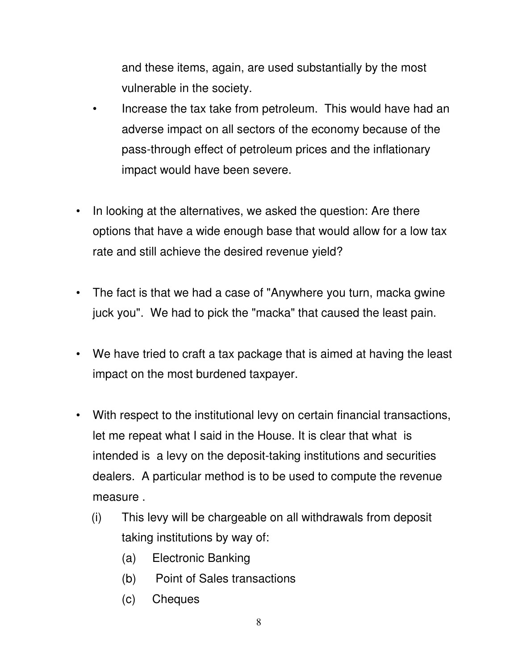and these items, again, are used substantially by the most vulnerable in the society.

- Increase the tax take from petroleum. This would have had an adverse impact on all sectors of the economy because of the pass-through effect of petroleum prices and the inflationary impact would have been severe.
- In looking at the alternatives, we asked the question: Are there options that have a wide enough base that would allow for a low tax rate and still achieve the desired revenue yield?
- The fact is that we had a case of "Anywhere you turn, macka gwine juck you". We had to pick the "macka" that caused the least pain.
- We have tried to craft a tax package that is aimed at having the least impact on the most burdened taxpayer.
- With respect to the institutional levy on certain financial transactions, let me repeat what I said in the House. It is clear that what is intended is a levy on the deposit-taking institutions and securities dealers. A particular method is to be used to compute the revenue measure .
	- (i) This levy will be chargeable on all withdrawals from deposit taking institutions by way of:
		- (a) Electronic Banking
		- (b) Point of Sales transactions
		- (c) Cheques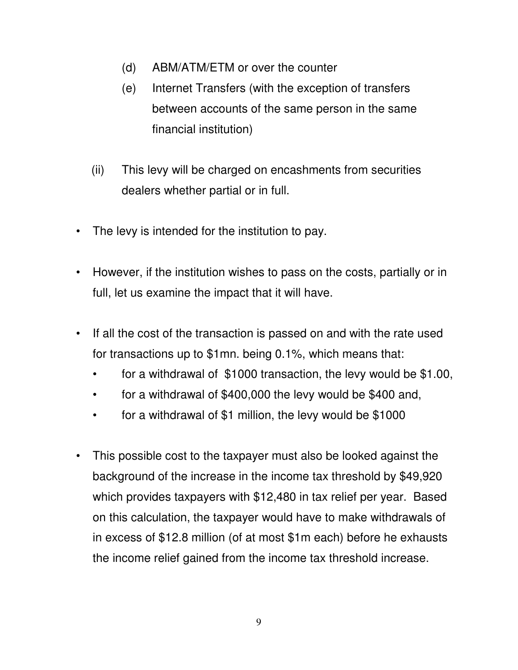- (d) ABM/ATM/ETM or over the counter
- (e) Internet Transfers (with the exception of transfers between accounts of the same person in the same financial institution)
- (ii) This levy will be charged on encashments from securities dealers whether partial or in full.
- The levy is intended for the institution to pay.
- However, if the institution wishes to pass on the costs, partially or in full, let us examine the impact that it will have.
- If all the cost of the transaction is passed on and with the rate used for transactions up to \$1mn. being 0.1%, which means that:
	- for a withdrawal of \$1000 transaction, the levy would be \$1.00,
	- for a withdrawal of \$400,000 the levy would be \$400 and,
	- for a withdrawal of \$1 million, the levy would be \$1000
- This possible cost to the taxpayer must also be looked against the background of the increase in the income tax threshold by \$49,920 which provides taxpayers with \$12,480 in tax relief per year. Based on this calculation, the taxpayer would have to make withdrawals of in excess of \$12.8 million (of at most \$1m each) before he exhausts the income relief gained from the income tax threshold increase.